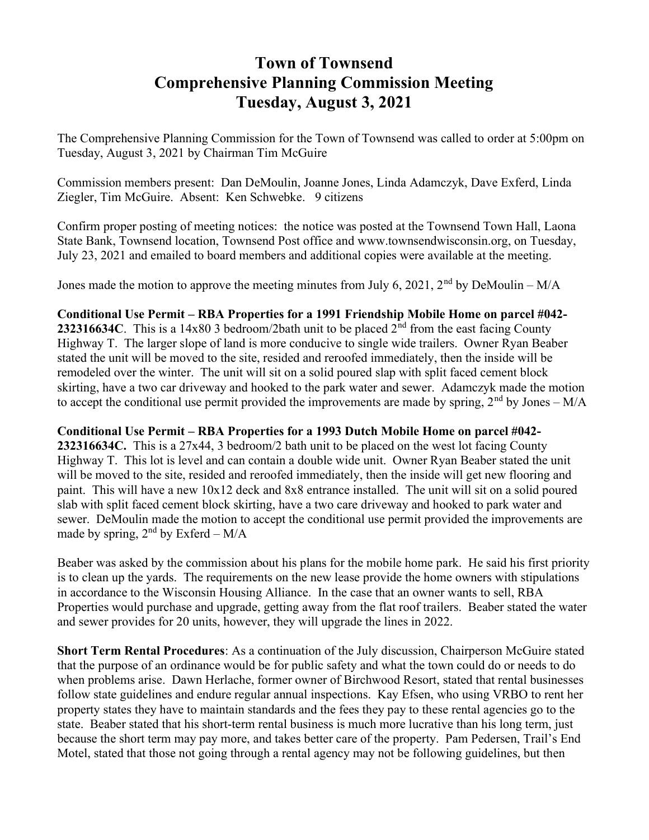## Town of Townsend Comprehensive Planning Commission Meeting Tuesday, August 3, 2021

The Comprehensive Planning Commission for the Town of Townsend was called to order at 5:00pm on Tuesday, August 3, 2021 by Chairman Tim McGuire

Commission members present: Dan DeMoulin, Joanne Jones, Linda Adamczyk, Dave Exferd, Linda Ziegler, Tim McGuire. Absent: Ken Schwebke. 9 citizens

Confirm proper posting of meeting notices: the notice was posted at the Townsend Town Hall, Laona State Bank, Townsend location, Townsend Post office and www.townsendwisconsin.org, on Tuesday, July 23, 2021 and emailed to board members and additional copies were available at the meeting.

Jones made the motion to approve the meeting minutes from July 6, 2021, 2<sup>nd</sup> by DeMoulin – M/A

## Conditional Use Permit – RBA Properties for a 1991 Friendship Mobile Home on parcel #042-

232316634C. This is a 14x80 3 bedroom/2bath unit to be placed  $2<sup>nd</sup>$  from the east facing County Highway T. The larger slope of land is more conducive to single wide trailers. Owner Ryan Beaber stated the unit will be moved to the site, resided and reroofed immediately, then the inside will be remodeled over the winter. The unit will sit on a solid poured slap with split faced cement block skirting, have a two car driveway and hooked to the park water and sewer. Adamczyk made the motion to accept the conditional use permit provided the improvements are made by spring,  $2<sup>nd</sup>$  by Jones – M/A

## Conditional Use Permit – RBA Properties for a 1993 Dutch Mobile Home on parcel #042-

232316634C. This is a 27x44, 3 bedroom/2 bath unit to be placed on the west lot facing County Highway T. This lot is level and can contain a double wide unit. Owner Ryan Beaber stated the unit will be moved to the site, resided and reroofed immediately, then the inside will get new flooring and paint. This will have a new 10x12 deck and 8x8 entrance installed. The unit will sit on a solid poured slab with split faced cement block skirting, have a two care driveway and hooked to park water and sewer. DeMoulin made the motion to accept the conditional use permit provided the improvements are made by spring,  $2<sup>nd</sup>$  by Exferd – M/A

Beaber was asked by the commission about his plans for the mobile home park. He said his first priority is to clean up the yards. The requirements on the new lease provide the home owners with stipulations in accordance to the Wisconsin Housing Alliance. In the case that an owner wants to sell, RBA Properties would purchase and upgrade, getting away from the flat roof trailers. Beaber stated the water and sewer provides for 20 units, however, they will upgrade the lines in 2022.

Short Term Rental Procedures: As a continuation of the July discussion, Chairperson McGuire stated that the purpose of an ordinance would be for public safety and what the town could do or needs to do when problems arise. Dawn Herlache, former owner of Birchwood Resort, stated that rental businesses follow state guidelines and endure regular annual inspections. Kay Efsen, who using VRBO to rent her property states they have to maintain standards and the fees they pay to these rental agencies go to the state. Beaber stated that his short-term rental business is much more lucrative than his long term, just because the short term may pay more, and takes better care of the property. Pam Pedersen, Trail's End Motel, stated that those not going through a rental agency may not be following guidelines, but then